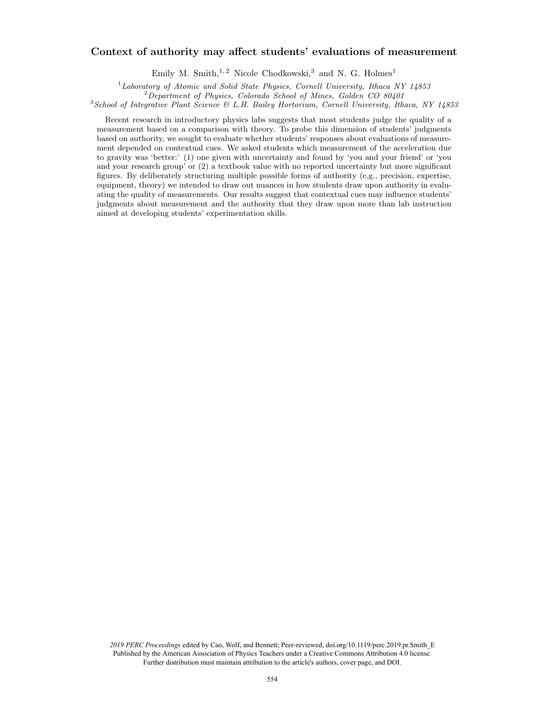### Context of authority may affect students' evaluations of measurement

Emily M. Smith,<sup>1,2</sup> Nicole Chodkowski,<sup>3</sup> and N. G. Holmes<sup>1</sup>

 $1$ Laboratory of Atomic and Solid State Physics, Cornell University, Ithaca NY 14853

<sup>2</sup>Department of Physics, Colorado School of Mines, Golden CO 80401

 $3$ School of Integrative Plant Science & L.H. Bailey Hortorium, Cornell University, Ithaca, NY 14853

Recent research in introductory physics labs suggests that most students judge the quality of a measurement based on a comparison with theory. To probe this dimension of students' judgments based on authority, we sought to evaluate whether students' responses about evaluations of measurement depended on contextual cues. We asked students which measurement of the acceleration due to gravity was 'better:' (1) one given with uncertainty and found by 'you and your friend' or 'you and your research group' or (2) a textbook value with no reported uncertainty but more significant figures. By deliberately structuring multiple possible forms of authority (e.g., precision, expertise, equipment, theory) we intended to draw out nuances in how students draw upon authority in evaluating the quality of measurements. Our results suggest that contextual cues may influence students' judgments about measurement and the authority that they draw upon more than lab instruction aimed at developing students' experimentation skills.

*2019 PERC Proceedings* edited by Cao, Wolf, and Bennett; Peer-reviewed, doi.org/10.1119/perc.2019.pr.Smith\_E Published by the American Association of Physics Teachers under a Creative Commons Attribution 4.0 license. Further distribution must maintain attribution to the article's authors, cover page, and DOI.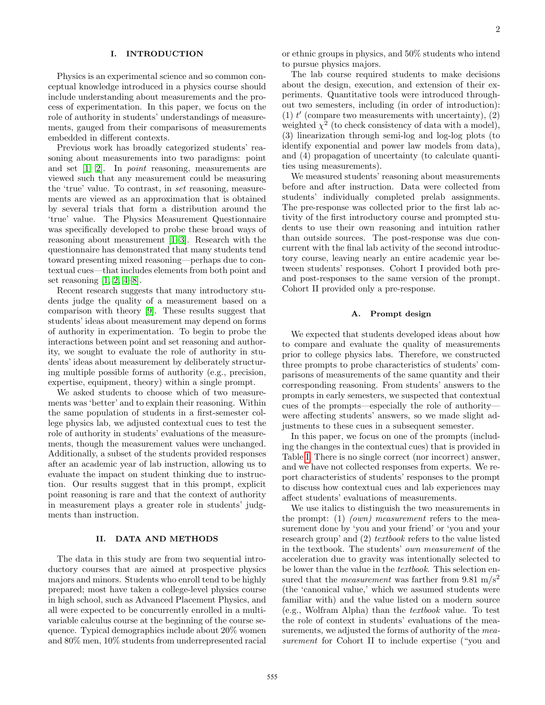## I. INTRODUCTION

Physics is an experimental science and so common conceptual knowledge introduced in a physics course should include understanding about measurements and the process of experimentation. In this paper, we focus on the role of authority in students' understandings of measurements, gauged from their comparisons of measurements embedded in different contexts.

Previous work has broadly categorized students' reasoning about measurements into two paradigms: point and set [1, 2]. In point reasoning, measurements are viewed such that any measurement could be measuring the 'true' value. To contrast, in set reasoning, measurements are viewed as an approximation that is obtained by several trials that form a distribution around the 'true' value. The Physics Measurement Questionnaire was specifically developed to probe these broad ways of reasoning about measurement [1–3]. Research with the questionnaire has demonstrated that many students tend toward presenting mixed reasoning—perhaps due to contextual cues—that includes elements from both point and set reasoning  $[1, 2, 4-8]$ .

Recent research suggests that many introductory students judge the quality of a measurement based on a comparison with theory [9]. These results suggest that students' ideas about measurement may depend on forms of authority in experimentation. To begin to probe the interactions between point and set reasoning and authority, we sought to evaluate the role of authority in students' ideas about measurement by deliberately structuring multiple possible forms of authority (e.g., precision, expertise, equipment, theory) within a single prompt.

We asked students to choose which of two measurements was 'better' and to explain their reasoning. Within the same population of students in a first-semester college physics lab, we adjusted contextual cues to test the role of authority in students' evaluations of the measurements, though the measurement values were unchanged. Additionally, a subset of the students provided responses after an academic year of lab instruction, allowing us to evaluate the impact on student thinking due to instruction. Our results suggest that in this prompt, explicit point reasoning is rare and that the context of authority in measurement plays a greater role in students' judgments than instruction.

#### II. DATA AND METHODS

The data in this study are from two sequential introductory courses that are aimed at prospective physics majors and minors. Students who enroll tend to be highly prepared; most have taken a college-level physics course in high school, such as Advanced Placement Physics, and all were expected to be concurrently enrolled in a multivariable calculus course at the beginning of the course sequence. Typical demographics include about 20% women and 80% men, 10% students from underrepresented racial

The lab course required students to make decisions about the design, execution, and extension of their experiments. Quantitative tools were introduced throughout two semesters, including (in order of introduction): (1)  $t'$  (compare two measurements with uncertainty), (2) weighted  $\chi^2$  (to check consistency of data with a model), (3) linearization through semi-log and log-log plots (to identify exponential and power law models from data), and (4) propagation of uncertainty (to calculate quantities using measurements).

We measured students' reasoning about measurements before and after instruction. Data were collected from students' individually completed prelab assignments. The pre-response was collected prior to the first lab activity of the first introductory course and prompted students to use their own reasoning and intuition rather than outside sources. The post-response was due concurrent with the final lab activity of the second introductory course, leaving nearly an entire academic year between students' responses. Cohort I provided both preand post-responses to the same version of the prompt. Cohort II provided only a pre-response.

#### A. Prompt design

We expected that students developed ideas about how to compare and evaluate the quality of measurements prior to college physics labs. Therefore, we constructed three prompts to probe characteristics of students' comparisons of measurements of the same quantity and their corresponding reasoning. From students' answers to the prompts in early semesters, we suspected that contextual cues of the prompts—especially the role of authority were affecting students' answers, so we made slight adjustments to these cues in a subsequent semester.

In this paper, we focus on one of the prompts (including the changes in the contextual cues) that is provided in Table I. There is no single correct (nor incorrect) answer, and we have not collected responses from experts. We report characteristics of students' responses to the prompt to discuss how contextual cues and lab experiences may affect students' evaluations of measurements.

We use italics to distinguish the two measurements in the prompt: (1) (own) measurement refers to the measurement done by 'you and your friend' or 'you and your research group' and (2) textbook refers to the value listed in the textbook. The students' own measurement of the acceleration due to gravity was intentionally selected to be lower than the value in the textbook. This selection ensured that the *measurement* was farther from 9.81 m/s<sup>2</sup> (the 'canonical value,' which we assumed students were familiar with) and the value listed on a modern source (e.g., Wolfram Alpha) than the textbook value. To test the role of context in students' evaluations of the measurements, we adjusted the forms of authority of the *mea*surement for Cohort II to include expertise ("you and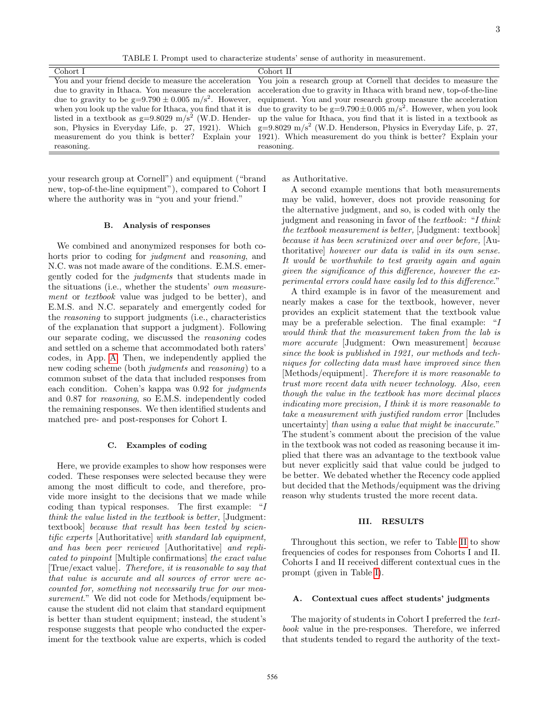<span id="page-2-0"></span>TABLE I. Prompt used to characterize students' sense of authority in measurement.

| Cohort I   | Cohort II                                                                                                                                   |
|------------|---------------------------------------------------------------------------------------------------------------------------------------------|
|            | You and your friend decide to measure the acceleration You join a research group at Cornell that decides to measure the                     |
|            | due to gravity in Ithaca. You measure the acceleration acceleration due to gravity in Ithaca with brand new, top-of-the-line                |
|            | due to gravity to be $g=9.790 \pm 0.005$ m/s <sup>2</sup> . However, equipment. You and your research group measure the acceleration        |
|            | when you look up the value for Ithaca, you find that it is due to gravity to be $g=9.790\pm0.005$ m/s <sup>2</sup> . However, when you look |
|            | listed in a textbook as $g=9.8029 \text{ m/s}^2$ (W.D. Hender- up the value for Ithaca, you find that it is listed in a textbook as         |
|            | son, Physics in Everyday Life, p. 27, 1921). Which $g=9.8029 \text{ m/s}^2$ (W.D. Henderson, Physics in Everyday Life, p. 27,               |
|            | measurement do you think is better? Explain your 1921). Which measurement do you think is better? Explain your                              |
| reasoning. | reasoning.                                                                                                                                  |

your research group at Cornell") and equipment ("brand new, top-of-the-line equipment"), compared to Cohort I where the authority was in "you and your friend."

#### B. Analysis of responses

We combined and anonymized responses for both cohorts prior to coding for *judgment* and *reasoning*, and N.C. was not made aware of the conditions. E.M.S. emergently coded for the judgments that students made in the situations (i.e., whether the students' own measurement or textbook value was judged to be better), and E.M.S. and N.C. separately and emergently coded for the reasoning to support judgments (i.e., characteristics of the explanation that support a judgment). Following our separate coding, we discussed the reasoning codes and settled on a scheme that accommodated both raters' codes, in App. A. Then, we independently applied the new coding scheme (both judgments and reasoning) to a common subset of the data that included responses from each condition. Cohen's kappa was 0.92 for *judgments* and 0.87 for reasoning, so E.M.S. independently coded the remaining responses. We then identified students and matched pre- and post-responses for Cohort I.

#### C. Examples of coding

Here, we provide examples to show how responses were coded. These responses were selected because they were among the most difficult to code, and therefore, provide more insight to the decisions that we made while coding than typical responses. The first example: "I think the value listed in the textbook is better, [Judgment: textbook] because that result has been tested by scientific experts [Authoritative] with standard lab equipment, and has been peer reviewed [Authoritative] and replicated to pinpoint [Multiple confirmations] the exact value [True/exact value]. Therefore, it is reasonable to say that that value is accurate and all sources of error were accounted for, something not necessarily true for our measurement." We did not code for Methods/equipment because the student did not claim that standard equipment is better than student equipment; instead, the student's response suggests that people who conducted the experiment for the textbook value are experts, which is coded

as Authoritative.

A second example mentions that both measurements may be valid, however, does not provide reasoning for the alternative judgment, and so, is coded with only the judgment and reasoning in favor of the textbook: "I think the textbook measurement is better, [Judgment: textbook] because it has been scrutinized over and over before, [Authoritative] however our data is valid in its own sense. It would be worthwhile to test gravity again and again given the significance of this difference, however the experimental errors could have easily led to this difference."

A third example is in favor of the measurement and nearly makes a case for the textbook, however, never provides an explicit statement that the textbook value may be a preferable selection. The final example: "I would think that the measurement taken from the lab is more accurate [Judgment: Own measurement] because since the book is published in 1921, our methods and techniques for collecting data must have improved since then [Methods/equipment]. Therefore it is more reasonable to trust more recent data with newer technology. Also, even though the value in the textbook has more decimal places indicating more precision, I think it is more reasonable to take a measurement with justified random error [Includes uncertainty] than using a value that might be inaccurate." The student's comment about the precision of the value in the textbook was not coded as reasoning because it implied that there was an advantage to the textbook value but never explicitly said that value could be judged to be better. We debated whether the Recency code applied but decided that the Methods/equipment was the driving reason why students trusted the more recent data.

#### III. RESULTS

Throughout this section, we refer to Table II to show frequencies of codes for responses from Cohorts I and II. Cohorts I and II received different contextual cues in the prompt (given in Table [I\)](#page-2-0).

#### A. Contextual cues affect students' judgments

The majority of students in Cohort I preferred the *text*book value in the pre-responses. Therefore, we inferred that students tended to regard the authority of the text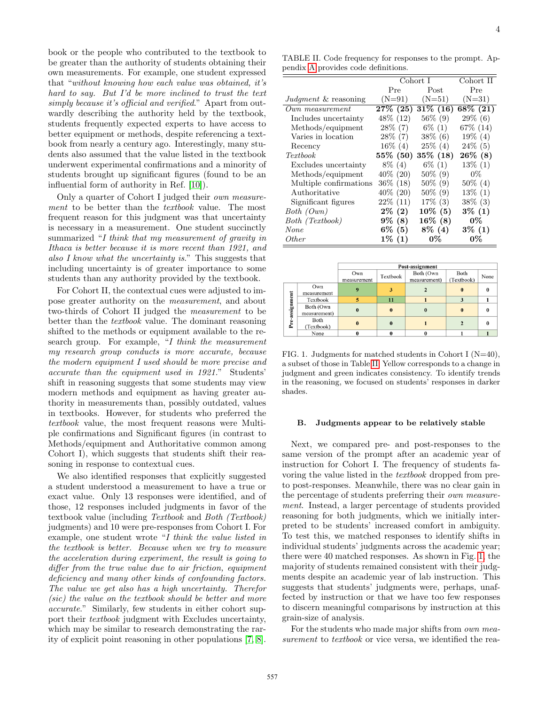book or the people who contributed to the textbook to be greater than the authority of students obtaining their own measurements. For example, one student expressed that "without knowing how each value was obtained, it's hard to say. But I'd be more inclined to trust the text simply because it's official and verified." Apart from outwardly describing the authority held by the textbook, students frequently expected experts to have access to better equipment or methods, despite referencing a textbook from nearly a century ago. Interestingly, many students also assumed that the value listed in the textbook underwent experimental confirmations and a minority of students brought up significant figures (found to be an influential form of authority in Ref. [10]).

Only a quarter of Cohort I judged their own measurement to be better than the *textbook* value. The most frequent reason for this judgment was that uncertainty is necessary in a measurement. One student succinctly summarized "I think that my measurement of gravity in Ithaca is better because it is more recent than 1921, and also I know what the uncertainty is." This suggests that including uncertainty is of greater importance to some students than any authority provided by the textbook.

For Cohort II, the contextual cues were adjusted to impose greater authority on the measurement, and about two-thirds of Cohort II judged the measurement to be better than the textbook value. The dominant reasoning shifted to the methods or equipment available to the research group. For example, "I think the measurement my research group conducts is more accurate, because the modern equipment I used should be more precise and accurate than the equipment used in 1921." Students' shift in reasoning suggests that some students may view modern methods and equipment as having greater authority in measurements than, possibly outdated, values in textbooks. However, for students who preferred the textbook value, the most frequent reasons were Multiple confirmations and Significant figures (in contrast to Methods/equipment and Authoritative common among Cohort I), which suggests that students shift their reasoning in response to contextual cues.

We also identified responses that explicitly suggested a student understood a measurement to have a true or exact value. Only 13 responses were identified, and of those, 12 responses included judgments in favor of the textbook value (including Textbook and Both (Textbook) judgments) and 10 were pre-responses from Cohort I. For example, one student wrote "I think the value listed in the textbook is better. Because when we try to measure the acceleration during experiment, the result is going to differ from the true value due to air friction, equipment deficiency and many other kinds of confounding factors. The value we get also has a high uncertainty. Therefor (sic) the value on the textbook should be better and more accurate." Similarly, few students in either cohort support their textbook judgment with Excludes uncertainty, which may be similar to research demonstrating the rarity of explicit point reasoning in other populations [7, 8].

<span id="page-3-0"></span>TABLE II. Code frequency for responses to the prompt. Appendix A provides code definitions.

|                                 | Cohort I    |             | Cohort II   |  |
|---------------------------------|-------------|-------------|-------------|--|
|                                 | Pre         | Post        | Pre         |  |
| <i>Judgment &amp;</i> reasoning | $(N=91)$    | $(N=51)$    | $(N=31)$    |  |
| Own measurement                 | $27\%$ (25) | $31\%$ (16) | $68\%~(21)$ |  |
| Includes uncertainty            | 48\% (12)   | $56\%$ (9)  | $29\%$ (6)  |  |
| Methods/equipment               | $28\%$ (7)  | $6\%$ (1)   | 67\% (14)   |  |
| Varies in location              | $28\%$ (7)  | $38\%$ (6)  | $19\%$ (4)  |  |
| Recency                         | $16\%$ (4)  | $25\%$ (4)  | $24\%$ (5)  |  |
| <i>Textbook</i>                 | $55\%$ (50) | $35\%$ (18) | $26\%$ (8)  |  |
| Excludes uncertainty            | $8\%$ (4)   | $6\%$ (1)   | $13\%$ (1)  |  |
| Methods/equipment               | 40\% (20)   | $50\%$ (9)  | 0%          |  |
| Multiple confirmations          | 36% (18)    | $50\%$ (9)  | $50\%$ (4)  |  |
| Authoritative                   | $40\%$ (20) | $50\%$ (9)  | $13\%$ (1)  |  |
| Significant figures             | $22\%$ (11) | $17\%$ (3)  | $38\%$ (3)  |  |
| Both (Own)                      | $2\%$ (2)   | $10\%$ (5)  | $3\%$ (1)   |  |
| Both (Textbook)                 | $9\%$ (8)   | $16\%$ (8)  | 0%          |  |
| None                            | $6\%$ (5)   | $8\%$ (4)   | $3\%$ (1)   |  |
| <i>Other</i>                    | $1\%$ (1)   | 0%          | $0\%$       |  |

|                |                           | Post-assignment    |          |                           |                    |          |  |  |
|----------------|---------------------------|--------------------|----------|---------------------------|--------------------|----------|--|--|
|                |                           | Own<br>measurement | Textbook | Both (Own<br>measurement) | Both<br>(Textbook) | None     |  |  |
| Pre-assignment | Own<br>measurement        | 9                  |          |                           | $\bf{0}$           | $\Omega$ |  |  |
|                | Textbook                  | 5                  | 11       |                           | 3                  |          |  |  |
|                | Both (Own<br>measurement) |                    |          | o                         | $\mathbf{0}$       |          |  |  |
|                | Both<br>(Textbook)        |                    |          |                           |                    |          |  |  |
|                | None                      |                    |          |                           |                    |          |  |  |

<span id="page-3-1"></span>FIG. 1. Judgments for matched students in Cohort I (N=40), a subset of those in Table [II.](#page-3-0) Yellow corresponds to a change in judgment and green indicates consistency. To identify trends in the reasoning, we focused on students' responses in darker shades.

#### B. Judgments appear to be relatively stable

Next, we compared pre- and post-responses to the same version of the prompt after an academic year of instruction for Cohort I. The frequency of students favoring the value listed in the textbook dropped from preto post-responses. Meanwhile, there was no clear gain in the percentage of students preferring their own measurement. Instead, a larger percentage of students provided reasoning for both judgments, which we initially interpreted to be students' increased comfort in ambiguity. To test this, we matched responses to identify shifts in individual students' judgments across the academic year; there were 40 matched responses. As shown in Fig. [1,](#page-3-1) the majority of students remained consistent with their judgments despite an academic year of lab instruction. This suggests that students' judgments were, perhaps, unaffected by instruction or that we have too few responses to discern meaningful comparisons by instruction at this grain-size of analysis.

For the students who made major shifts from own measurement to textbook or vice versa, we identified the rea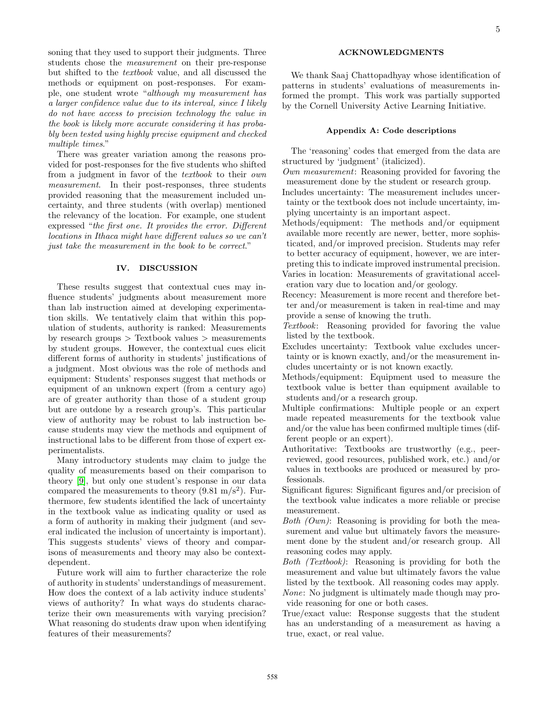soning that they used to support their judgments. Three students chose the measurement on their pre-response but shifted to the textbook value, and all discussed the methods or equipment on post-responses. For example, one student wrote "although my measurement has a larger confidence value due to its interval, since I likely do not have access to precision technology the value in the book is likely more accurate considering it has probably been tested using highly precise equipment and checked multiple times."

There was greater variation among the reasons provided for post-responses for the five students who shifted from a judgment in favor of the textbook to their own measurement. In their post-responses, three students provided reasoning that the measurement included uncertainty, and three students (with overlap) mentioned the relevancy of the location. For example, one student expressed "the first one. It provides the error. Different locations in Ithaca might have different values so we can't just take the measurement in the book to be correct."

#### IV. DISCUSSION

These results suggest that contextual cues may influence students' judgments about measurement more than lab instruction aimed at developing experimentation skills. We tentatively claim that within this population of students, authority is ranked: Measurements by research groups > Textbook values > measurements by student groups. However, the contextual cues elicit different forms of authority in students' justifications of a judgment. Most obvious was the role of methods and equipment: Students' responses suggest that methods or equipment of an unknown expert (from a century ago) are of greater authority than those of a student group but are outdone by a research group's. This particular view of authority may be robust to lab instruction because students may view the methods and equipment of instructional labs to be different from those of expert experimentalists.

Many introductory students may claim to judge the quality of measurements based on their comparison to theory [9], but only one student's response in our data compared the measurements to theory  $(9.81 \text{ m/s}^2)$ . Furthermore, few students identified the lack of uncertainty in the textbook value as indicating quality or used as a form of authority in making their judgment (and several indicated the inclusion of uncertainty is important). This suggests students' views of theory and comparisons of measurements and theory may also be contextdependent.

Future work will aim to further characterize the role of authority in students' understandings of measurement. How does the context of a lab activity induce students' views of authority? In what ways do students characterize their own measurements with varying precision? What reasoning do students draw upon when identifying features of their measurements?

# ACKNOWLEDGMENTS

We thank Saaj Chattopadhyay whose identification of patterns in students' evaluations of measurements informed the prompt. This work was partially supported by the Cornell University Active Learning Initiative.

#### Appendix A: Code descriptions

The 'reasoning' codes that emerged from the data are structured by 'judgment' (italicized).

Own measurement: Reasoning provided for favoring the measurement done by the student or research group.

- Includes uncertainty: The measurement includes uncertainty or the textbook does not include uncertainty, implying uncertainty is an important aspect.
- Methods/equipment: The methods and/or equipment available more recently are newer, better, more sophisticated, and/or improved precision. Students may refer to better accuracy of equipment, however, we are interpreting this to indicate improved instrumental precision.
- Varies in location: Measurements of gravitational acceleration vary due to location and/or geology.
- Recency: Measurement is more recent and therefore better and/or measurement is taken in real-time and may provide a sense of knowing the truth.
- Textbook: Reasoning provided for favoring the value listed by the textbook.
- Excludes uncertainty: Textbook value excludes uncertainty or is known exactly, and/or the measurement includes uncertainty or is not known exactly.
- Methods/equipment: Equipment used to measure the textbook value is better than equipment available to students and/or a research group.
- Multiple confirmations: Multiple people or an expert made repeated measurements for the textbook value and/or the value has been confirmed multiple times (different people or an expert).
- Authoritative: Textbooks are trustworthy (e.g., peerreviewed, good resources, published work, etc.) and/or values in textbooks are produced or measured by professionals.
- Significant figures: Significant figures and/or precision of the textbook value indicates a more reliable or precise measurement.
- Both  $(Qwn)$ : Reasoning is providing for both the measurement and value but ultimately favors the measurement done by the student and/or research group. All reasoning codes may apply.

Both (Textbook): Reasoning is providing for both the measurement and value but ultimately favors the value listed by the textbook. All reasoning codes may apply.

- None: No judgment is ultimately made though may provide reasoning for one or both cases.
- True/exact value: Response suggests that the student has an understanding of a measurement as having a true, exact, or real value.